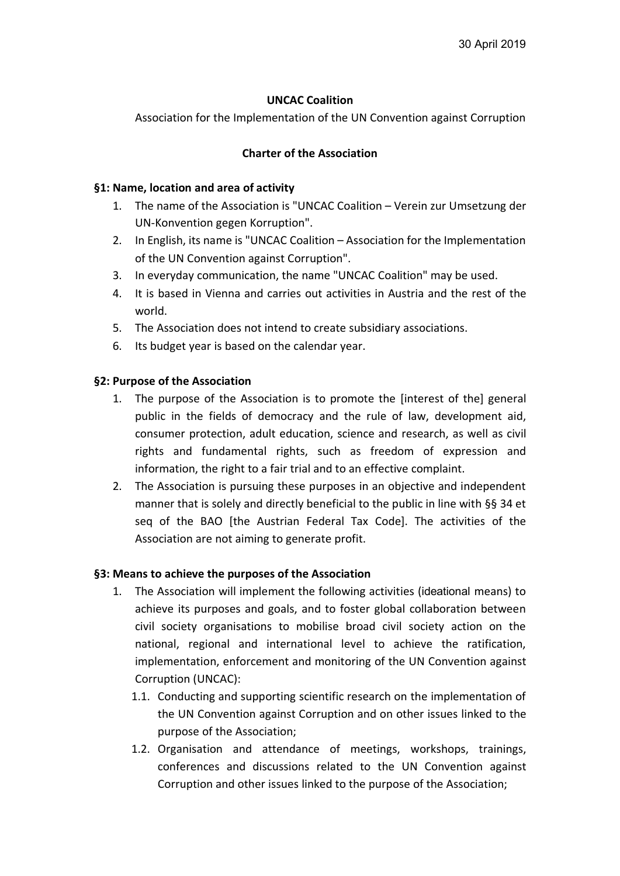## **UNCAC Coalition**

Association for the Implementation of the UN Convention against Corruption

### **Charter of the Association**

#### **§1: Name, location and area of activity**

- 1. The name of the Association is "UNCAC Coalition Verein zur Umsetzung der UN-Konvention gegen Korruption".
- 2. In English, its name is "UNCAC Coalition Association for the Implementation of the UN Convention against Corruption".
- 3. In everyday communication, the name "UNCAC Coalition" may be used.
- 4. It is based in Vienna and carries out activities in Austria and the rest of the world.
- 5. The Association does not intend to create subsidiary associations.
- 6. Its budget year is based on the calendar year.

### **§2: Purpose of the Association**

- 1. The purpose of the Association is to promote the [interest of the] general public in the fields of democracy and the rule of law, development aid, consumer protection, adult education, science and research, as well as civil rights and fundamental rights, such as freedom of expression and information, the right to a fair trial and to an effective complaint.
- 2. The Association is pursuing these purposes in an objective and independent manner that is solely and directly beneficial to the public in line with §§ 34 et seq of the BAO [the Austrian Federal Tax Code]. The activities of the Association are not aiming to generate profit.

## **§3: Means to achieve the purposes of the Association**

- 1. The Association will implement the following activities (ideational means) to achieve its purposes and goals, and to foster global collaboration between civil society organisations to mobilise broad civil society action on the national, regional and international level to achieve the ratification, implementation, enforcement and monitoring of the UN Convention against Corruption (UNCAC):
	- 1.1. Conducting and supporting scientific research on the implementation of the UN Convention against Corruption and on other issues linked to the purpose of the Association;
	- 1.2. Organisation and attendance of meetings, workshops, trainings, conferences and discussions related to the UN Convention against Corruption and other issues linked to the purpose of the Association;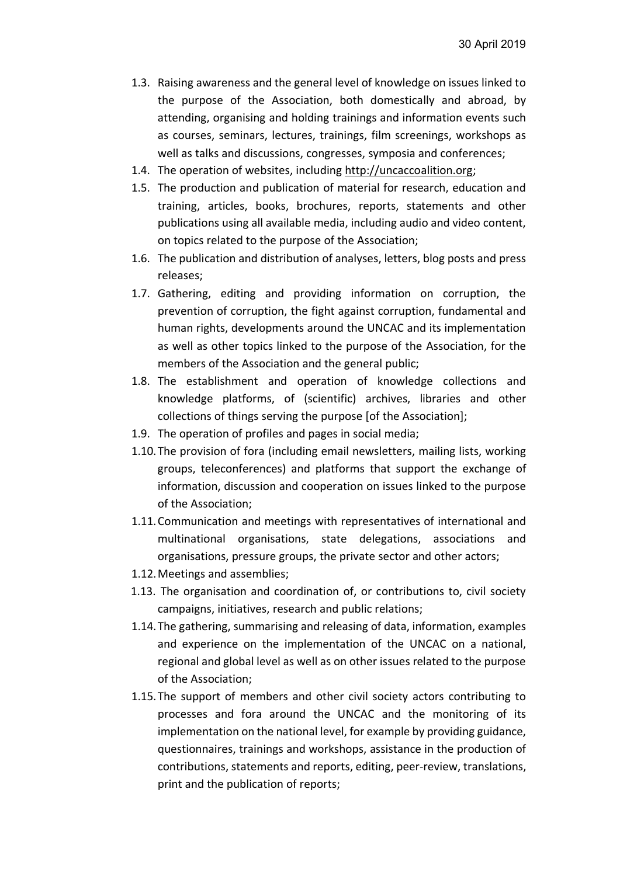- 1.3. Raising awareness and the general level of knowledge on issues linked to the purpose of the Association, both domestically and abroad, by attending, organising and holding trainings and information events such as courses, seminars, lectures, trainings, film screenings, workshops as well as talks and discussions, congresses, symposia and conferences;
- 1.4. The operation of websites, including http://uncaccoalition.org;
- 1.5. The production and publication of material for research, education and training, articles, books, brochures, reports, statements and other publications using all available media, including audio and video content, on topics related to the purpose of the Association;
- 1.6. The publication and distribution of analyses, letters, blog posts and press releases;
- 1.7. Gathering, editing and providing information on corruption, the prevention of corruption, the fight against corruption, fundamental and human rights, developments around the UNCAC and its implementation as well as other topics linked to the purpose of the Association, for the members of the Association and the general public;
- 1.8. The establishment and operation of knowledge collections and knowledge platforms, of (scientific) archives, libraries and other collections of things serving the purpose [of the Association];
- 1.9. The operation of profiles and pages in social media;
- 1.10.The provision of fora (including email newsletters, mailing lists, working groups, teleconferences) and platforms that support the exchange of information, discussion and cooperation on issues linked to the purpose of the Association;
- 1.11.Communication and meetings with representatives of international and multinational organisations, state delegations, associations and organisations, pressure groups, the private sector and other actors;
- 1.12.Meetings and assemblies;
- 1.13. The organisation and coordination of, or contributions to, civil society campaigns, initiatives, research and public relations;
- 1.14.The gathering, summarising and releasing of data, information, examples and experience on the implementation of the UNCAC on a national, regional and global level as well as on other issues related to the purpose of the Association;
- 1.15.The support of members and other civil society actors contributing to processes and fora around the UNCAC and the monitoring of its implementation on the national level, for example by providing guidance, questionnaires, trainings and workshops, assistance in the production of contributions, statements and reports, editing, peer-review, translations, print and the publication of reports;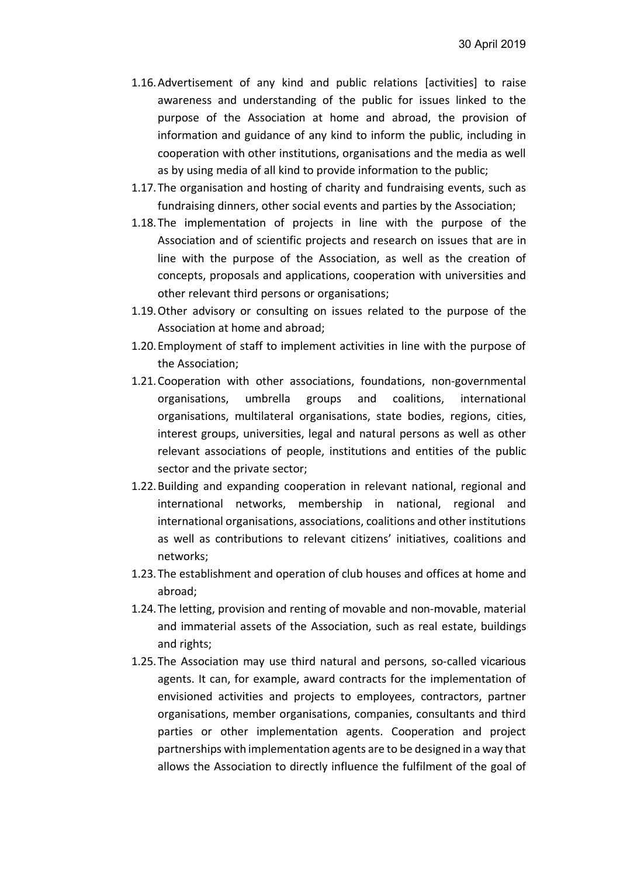- 1.16.Advertisement of any kind and public relations [activities] to raise awareness and understanding of the public for issues linked to the purpose of the Association at home and abroad, the provision of information and guidance of any kind to inform the public, including in cooperation with other institutions, organisations and the media as well as by using media of all kind to provide information to the public;
- 1.17.The organisation and hosting of charity and fundraising events, such as fundraising dinners, other social events and parties by the Association;
- 1.18.The implementation of projects in line with the purpose of the Association and of scientific projects and research on issues that are in line with the purpose of the Association, as well as the creation of concepts, proposals and applications, cooperation with universities and other relevant third persons or organisations;
- 1.19.Other advisory or consulting on issues related to the purpose of the Association at home and abroad;
- 1.20.Employment of staff to implement activities in line with the purpose of the Association;
- 1.21.Cooperation with other associations, foundations, non-governmental organisations, umbrella groups and coalitions, international organisations, multilateral organisations, state bodies, regions, cities, interest groups, universities, legal and natural persons as well as other relevant associations of people, institutions and entities of the public sector and the private sector;
- 1.22.Building and expanding cooperation in relevant national, regional and international networks, membership in national, regional and international organisations, associations, coalitions and other institutions as well as contributions to relevant citizens' initiatives, coalitions and networks;
- 1.23.The establishment and operation of club houses and offices at home and abroad;
- 1.24.The letting, provision and renting of movable and non-movable, material and immaterial assets of the Association, such as real estate, buildings and rights;
- 1.25.The Association may use third natural and persons, so-called vicarious agents. It can, for example, award contracts for the implementation of envisioned activities and projects to employees, contractors, partner organisations, member organisations, companies, consultants and third parties or other implementation agents. Cooperation and project partnerships with implementation agents are to be designed in a way that allows the Association to directly influence the fulfilment of the goal of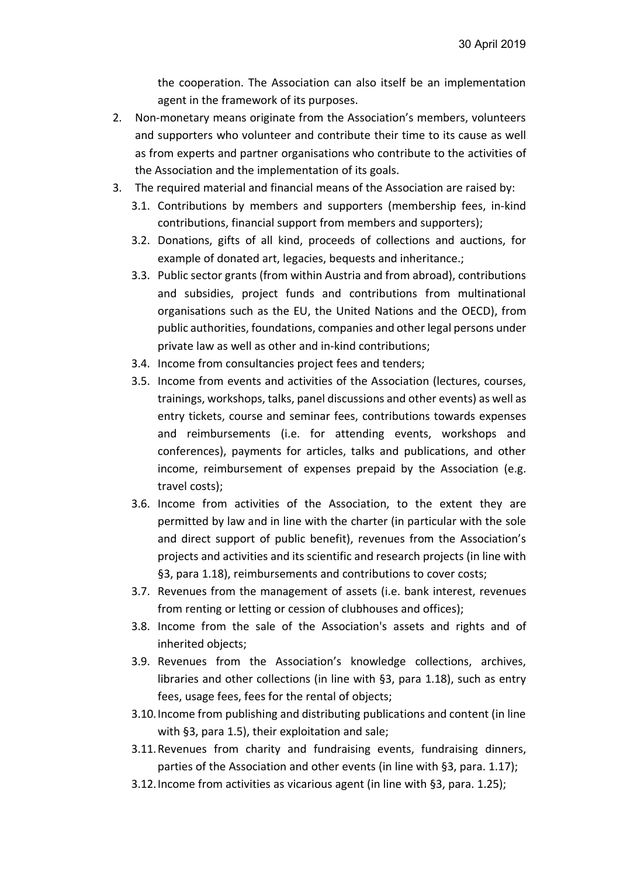the cooperation. The Association can also itself be an implementation agent in the framework of its purposes.

- 2. Non-monetary means originate from the Association's members, volunteers and supporters who volunteer and contribute their time to its cause as well as from experts and partner organisations who contribute to the activities of the Association and the implementation of its goals.
- 3. The required material and financial means of the Association are raised by:
	- 3.1. Contributions by members and supporters (membership fees, in-kind contributions, financial support from members and supporters);
	- 3.2. Donations, gifts of all kind, proceeds of collections and auctions, for example of donated art, legacies, bequests and inheritance.;
	- 3.3. Public sector grants (from within Austria and from abroad), contributions and subsidies, project funds and contributions from multinational organisations such as the EU, the United Nations and the OECD), from public authorities, foundations, companies and other legal persons under private law as well as other and in-kind contributions;
	- 3.4. Income from consultancies project fees and tenders;
	- 3.5. Income from events and activities of the Association (lectures, courses, trainings, workshops, talks, panel discussions and other events) as well as entry tickets, course and seminar fees, contributions towards expenses and reimbursements (i.e. for attending events, workshops and conferences), payments for articles, talks and publications, and other income, reimbursement of expenses prepaid by the Association (e.g. travel costs);
	- 3.6. Income from activities of the Association, to the extent they are permitted by law and in line with the charter (in particular with the sole and direct support of public benefit), revenues from the Association's projects and activities and its scientific and research projects (in line with §3, para 1.18), reimbursements and contributions to cover costs;
	- 3.7. Revenues from the management of assets (i.e. bank interest, revenues from renting or letting or cession of clubhouses and offices);
	- 3.8. Income from the sale of the Association's assets and rights and of inherited objects;
	- 3.9. Revenues from the Association's knowledge collections, archives, libraries and other collections (in line with §3, para 1.18), such as entry fees, usage fees, fees for the rental of objects;
	- 3.10.Income from publishing and distributing publications and content (in line with §3, para 1.5), their exploitation and sale;
	- 3.11.Revenues from charity and fundraising events, fundraising dinners, parties of the Association and other events (in line with §3, para. 1.17);
	- 3.12.Income from activities as vicarious agent (in line with §3, para. 1.25);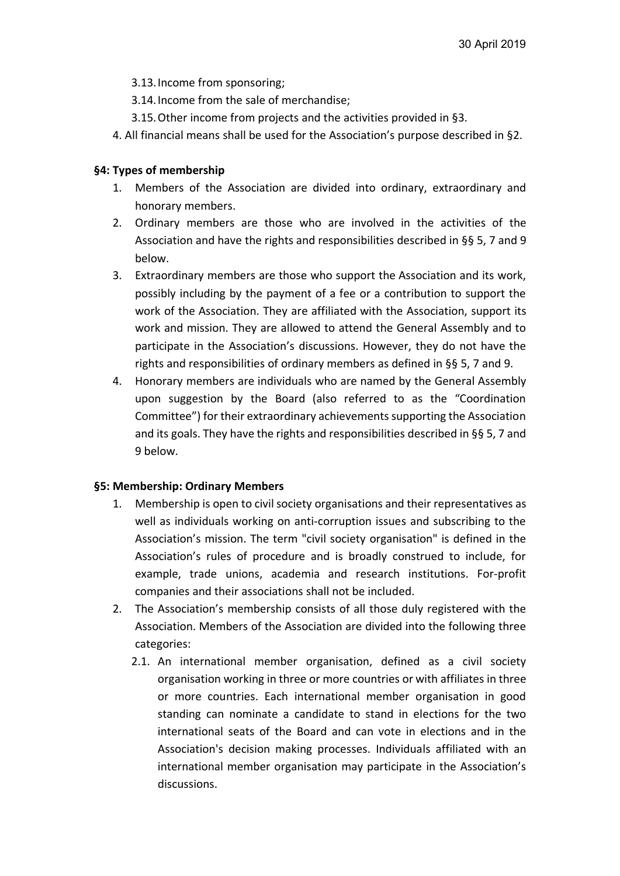- 3.13.Income from sponsoring;
- 3.14.Income from the sale of merchandise;
- 3.15.Other income from projects and the activities provided in §3.
- 4. All financial means shall be used for the Association's purpose described in §2.

# **§4: Types of membership**

- 1. Members of the Association are divided into ordinary, extraordinary and honorary members.
- 2. Ordinary members are those who are involved in the activities of the Association and have the rights and responsibilities described in §§ 5, 7 and 9 below.
- 3. Extraordinary members are those who support the Association and its work, possibly including by the payment of a fee or a contribution to support the work of the Association. They are affiliated with the Association, support its work and mission. They are allowed to attend the General Assembly and to participate in the Association's discussions. However, they do not have the rights and responsibilities of ordinary members as defined in §§ 5, 7 and 9.
- 4. Honorary members are individuals who are named by the General Assembly upon suggestion by the Board (also referred to as the "Coordination Committee") for their extraordinary achievements supporting the Association and its goals. They have the rights and responsibilities described in §§ 5, 7 and 9 below.

## **§5: Membership: Ordinary Members**

- 1. Membership is open to civil society organisations and their representatives as well as individuals working on anti-corruption issues and subscribing to the Association's mission. The term "civil society organisation" is defined in the Association's rules of procedure and is broadly construed to include, for example, trade unions, academia and research institutions. For-profit companies and their associations shall not be included.
- 2. The Association's membership consists of all those duly registered with the Association. Members of the Association are divided into the following three categories:
	- 2.1. An international member organisation, defined as a civil society organisation working in three or more countries or with affiliates in three or more countries. Each international member organisation in good standing can nominate a candidate to stand in elections for the two international seats of the Board and can vote in elections and in the Association's decision making processes. Individuals affiliated with an international member organisation may participate in the Association's discussions.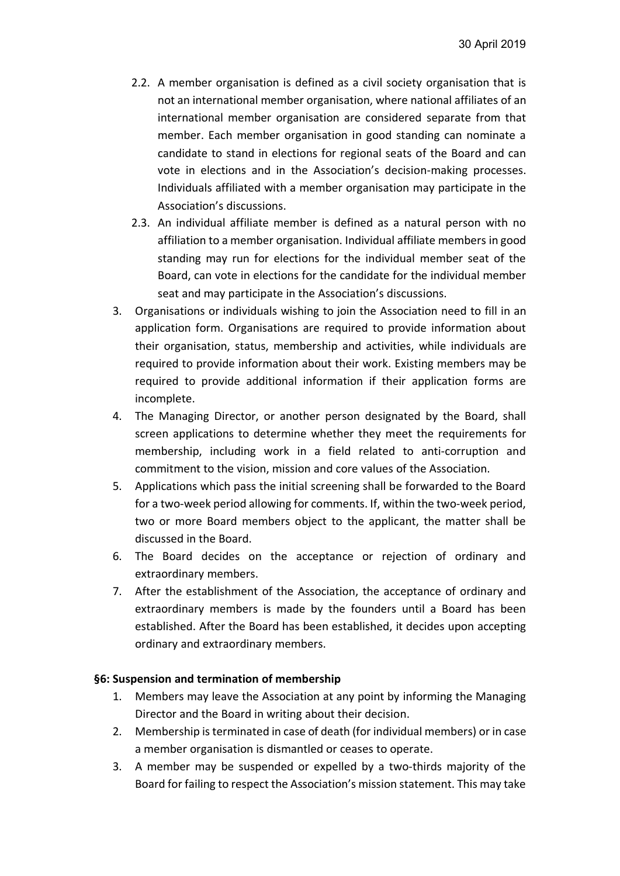- 2.2. A member organisation is defined as a civil society organisation that is not an international member organisation, where national affiliates of an international member organisation are considered separate from that member. Each member organisation in good standing can nominate a candidate to stand in elections for regional seats of the Board and can vote in elections and in the Association's decision-making processes. Individuals affiliated with a member organisation may participate in the Association's discussions.
- 2.3. An individual affiliate member is defined as a natural person with no affiliation to a member organisation. Individual affiliate members in good standing may run for elections for the individual member seat of the Board, can vote in elections for the candidate for the individual member seat and may participate in the Association's discussions.
- 3. Organisations or individuals wishing to join the Association need to fill in an application form. Organisations are required to provide information about their organisation, status, membership and activities, while individuals are required to provide information about their work. Existing members may be required to provide additional information if their application forms are incomplete.
- 4. The Managing Director, or another person designated by the Board, shall screen applications to determine whether they meet the requirements for membership, including work in a field related to anti-corruption and commitment to the vision, mission and core values of the Association.
- 5. Applications which pass the initial screening shall be forwarded to the Board for a two-week period allowing for comments. If, within the two-week period, two or more Board members object to the applicant, the matter shall be discussed in the Board.
- 6. The Board decides on the acceptance or rejection of ordinary and extraordinary members.
- 7. After the establishment of the Association, the acceptance of ordinary and extraordinary members is made by the founders until a Board has been established. After the Board has been established, it decides upon accepting ordinary and extraordinary members.

#### **§6: Suspension and termination of membership**

- 1. Members may leave the Association at any point by informing the Managing Director and the Board in writing about their decision.
- 2. Membership isterminated in case of death (for individual members) or in case a member organisation is dismantled or ceases to operate.
- 3. A member may be suspended or expelled by a two-thirds majority of the Board for failing to respect the Association's mission statement. This may take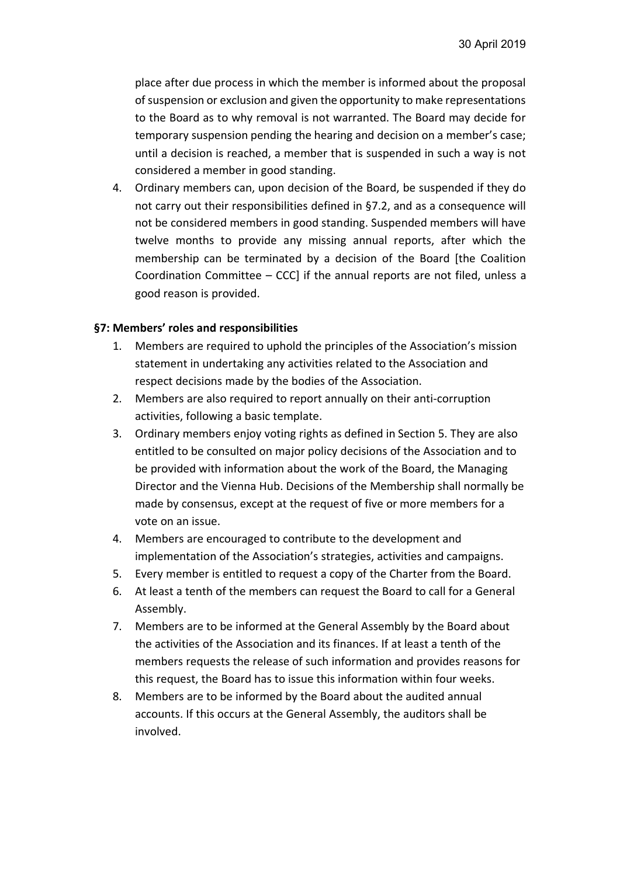place after due process in which the member is informed about the proposal ofsuspension or exclusion and given the opportunity to make representations to the Board as to why removal is not warranted. The Board may decide for temporary suspension pending the hearing and decision on a member's case; until a decision is reached, a member that is suspended in such a way is not considered a member in good standing.

4. Ordinary members can, upon decision of the Board, be suspended if they do not carry out their responsibilities defined in §7.2, and as a consequence will not be considered members in good standing. Suspended members will have twelve months to provide any missing annual reports, after which the membership can be terminated by a decision of the Board [the Coalition Coordination Committee – CCC] if the annual reports are not filed, unless a good reason is provided.

### **§7: Members' roles and responsibilities**

- 1. Members are required to uphold the principles of the Association's mission statement in undertaking any activities related to the Association and respect decisions made by the bodies of the Association.
- 2. Members are also required to report annually on their anti-corruption activities, following a basic template.
- 3. Ordinary members enjoy voting rights as defined in Section 5. They are also entitled to be consulted on major policy decisions of the Association and to be provided with information about the work of the Board, the Managing Director and the Vienna Hub. Decisions of the Membership shall normally be made by consensus, except at the request of five or more members for a vote on an issue.
- 4. Members are encouraged to contribute to the development and implementation of the Association's strategies, activities and campaigns.
- 5. Every member is entitled to request a copy of the Charter from the Board.
- 6. At least a tenth of the members can request the Board to call for a General Assembly.
- 7. Members are to be informed at the General Assembly by the Board about the activities of the Association and its finances. If at least a tenth of the members requests the release of such information and provides reasons for this request, the Board has to issue this information within four weeks.
- 8. Members are to be informed by the Board about the audited annual accounts. If this occurs at the General Assembly, the auditors shall be involved.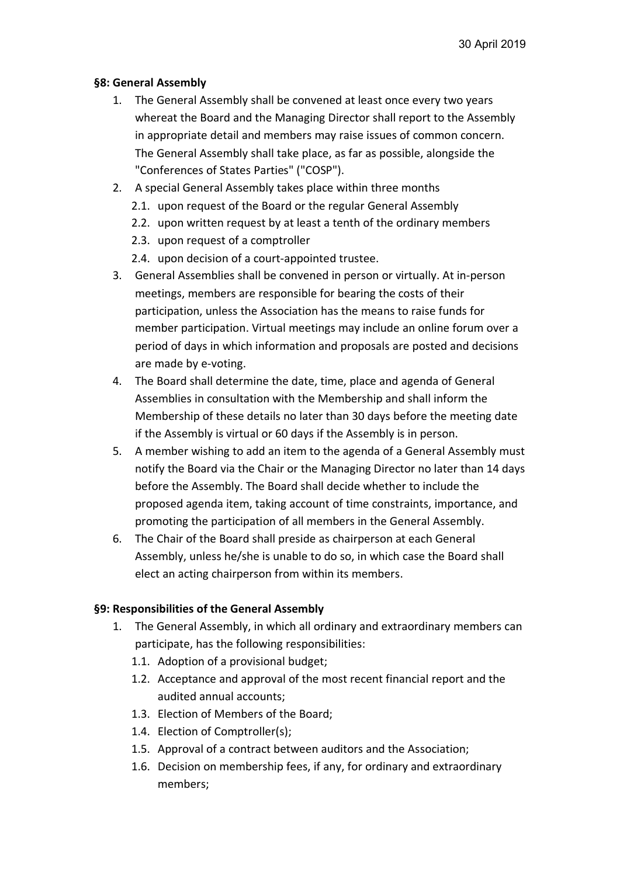# **§8: General Assembly**

- 1. The General Assembly shall be convened at least once every two years whereat the Board and the Managing Director shall report to the Assembly in appropriate detail and members may raise issues of common concern. The General Assembly shall take place, as far as possible, alongside the "Conferences of States Parties" ("COSP").
- 2. A special General Assembly takes place within three months
	- 2.1. upon request of the Board or the regular General Assembly
	- 2.2. upon written request by at least a tenth of the ordinary members
	- 2.3. upon request of a comptroller
	- 2.4. upon decision of a court-appointed trustee.
- 3. General Assemblies shall be convened in person or virtually. At in-person meetings, members are responsible for bearing the costs of their participation, unless the Association has the means to raise funds for member participation. Virtual meetings may include an online forum over a period of days in which information and proposals are posted and decisions are made by e-voting.
- 4. The Board shall determine the date, time, place and agenda of General Assemblies in consultation with the Membership and shall inform the Membership of these details no later than 30 days before the meeting date if the Assembly is virtual or 60 days if the Assembly is in person.
- 5. A member wishing to add an item to the agenda of a General Assembly must notify the Board via the Chair or the Managing Director no later than 14 days before the Assembly. The Board shall decide whether to include the proposed agenda item, taking account of time constraints, importance, and promoting the participation of all members in the General Assembly.
- 6. The Chair of the Board shall preside as chairperson at each General Assembly, unless he/she is unable to do so, in which case the Board shall elect an acting chairperson from within its members.

## **§9: Responsibilities of the General Assembly**

- 1. The General Assembly, in which all ordinary and extraordinary members can participate, has the following responsibilities:
	- 1.1. Adoption of a provisional budget;
	- 1.2. Acceptance and approval of the most recent financial report and the audited annual accounts;
	- 1.3. Election of Members of the Board;
	- 1.4. Election of Comptroller(s);
	- 1.5. Approval of a contract between auditors and the Association;
	- 1.6. Decision on membership fees, if any, for ordinary and extraordinary members;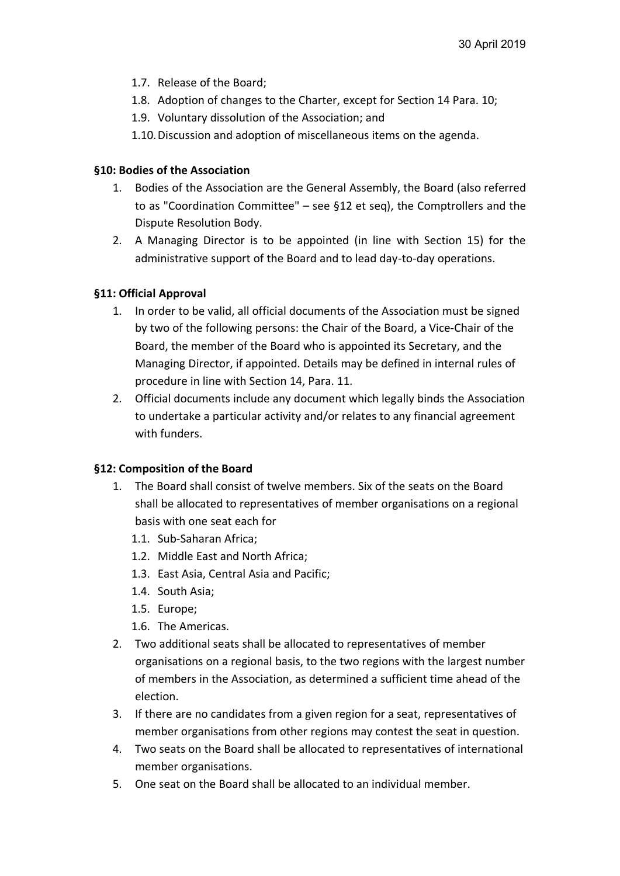- 1.7. Release of the Board;
- 1.8. Adoption of changes to the Charter, except for Section 14 Para. 10;
- 1.9. Voluntary dissolution of the Association; and
- 1.10.Discussion and adoption of miscellaneous items on the agenda.

# **§10: Bodies of the Association**

- 1. Bodies of the Association are the General Assembly, the Board (also referred to as "Coordination Committee" – see §12 et seq), the Comptrollers and the Dispute Resolution Body.
- 2. A Managing Director is to be appointed (in line with Section 15) for the administrative support of the Board and to lead day-to-day operations.

# **§11: Official Approval**

- 1. In order to be valid, all official documents of the Association must be signed by two of the following persons: the Chair of the Board, a Vice-Chair of the Board, the member of the Board who is appointed its Secretary, and the Managing Director, if appointed. Details may be defined in internal rules of procedure in line with Section 14, Para. 11.
- 2. Official documents include any document which legally binds the Association to undertake a particular activity and/or relates to any financial agreement with funders.

## **§12: Composition of the Board**

- 1. The Board shall consist of twelve members. Six of the seats on the Board shall be allocated to representatives of member organisations on a regional basis with one seat each for
	- 1.1. Sub-Saharan Africa;
	- 1.2. Middle East and North Africa;
	- 1.3. East Asia, Central Asia and Pacific;
	- 1.4. South Asia;
	- 1.5. Europe;
	- 1.6. The Americas.
- 2. Two additional seats shall be allocated to representatives of member organisations on a regional basis, to the two regions with the largest number of members in the Association, as determined a sufficient time ahead of the election.
- 3. If there are no candidates from a given region for a seat, representatives of member organisations from other regions may contest the seat in question.
- 4. Two seats on the Board shall be allocated to representatives of international member organisations.
- 5. One seat on the Board shall be allocated to an individual member.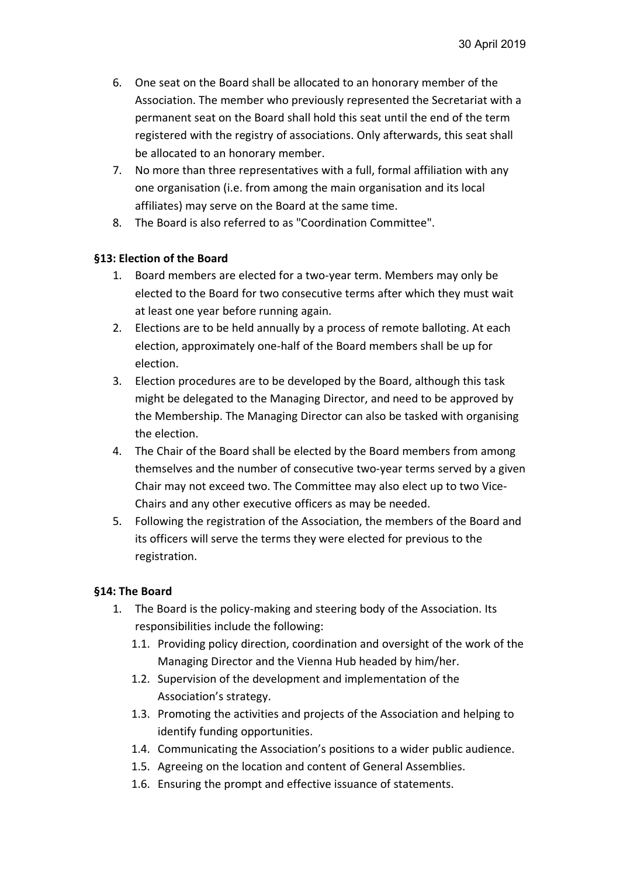- 6. One seat on the Board shall be allocated to an honorary member of the Association. The member who previously represented the Secretariat with a permanent seat on the Board shall hold this seat until the end of the term registered with the registry of associations. Only afterwards, this seat shall be allocated to an honorary member.
- 7. No more than three representatives with a full, formal affiliation with any one organisation (i.e. from among the main organisation and its local affiliates) may serve on the Board at the same time.
- 8. The Board is also referred to as "Coordination Committee".

### **§13: Election of the Board**

- 1. Board members are elected for a two-year term. Members may only be elected to the Board for two consecutive terms after which they must wait at least one year before running again.
- 2. Elections are to be held annually by a process of remote balloting. At each election, approximately one-half of the Board members shall be up for election.
- 3. Election procedures are to be developed by the Board, although this task might be delegated to the Managing Director, and need to be approved by the Membership. The Managing Director can also be tasked with organising the election.
- 4. The Chair of the Board shall be elected by the Board members from among themselves and the number of consecutive two-year terms served by a given Chair may not exceed two. The Committee may also elect up to two Vice-Chairs and any other executive officers as may be needed.
- 5. Following the registration of the Association, the members of the Board and its officers will serve the terms they were elected for previous to the registration.

## **§14: The Board**

- 1. The Board is the policy-making and steering body of the Association. Its responsibilities include the following:
	- 1.1. Providing policy direction, coordination and oversight of the work of the Managing Director and the Vienna Hub headed by him/her.
	- 1.2. Supervision of the development and implementation of the Association's strategy.
	- 1.3. Promoting the activities and projects of the Association and helping to identify funding opportunities.
	- 1.4. Communicating the Association's positions to a wider public audience.
	- 1.5. Agreeing on the location and content of General Assemblies.
	- 1.6. Ensuring the prompt and effective issuance of statements.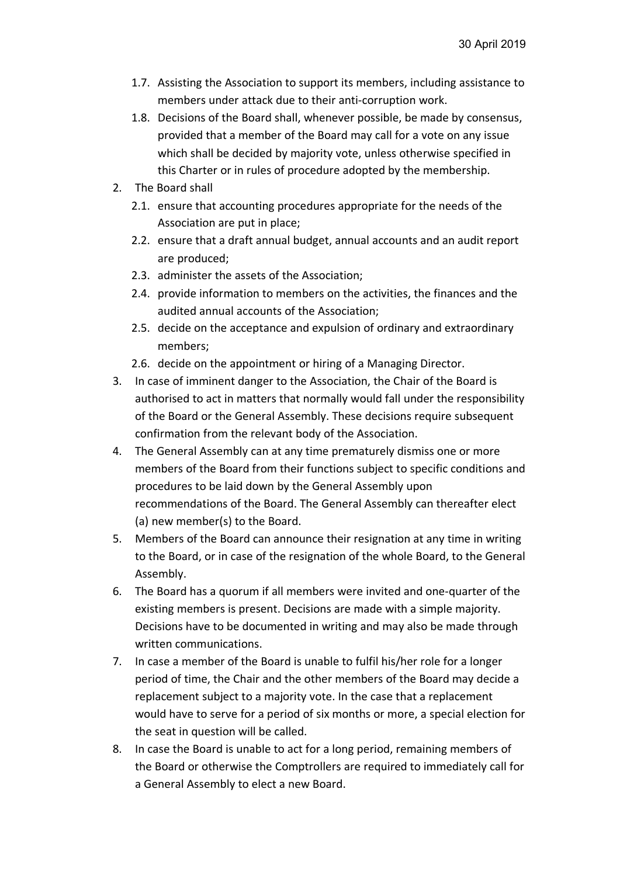- 1.7. Assisting the Association to support its members, including assistance to members under attack due to their anti-corruption work.
- 1.8. Decisions of the Board shall, whenever possible, be made by consensus, provided that a member of the Board may call for a vote on any issue which shall be decided by majority vote, unless otherwise specified in this Charter or in rules of procedure adopted by the membership.
- 2. The Board shall
	- 2.1. ensure that accounting procedures appropriate for the needs of the Association are put in place;
	- 2.2. ensure that a draft annual budget, annual accounts and an audit report are produced;
	- 2.3. administer the assets of the Association;
	- 2.4. provide information to members on the activities, the finances and the audited annual accounts of the Association;
	- 2.5. decide on the acceptance and expulsion of ordinary and extraordinary members;
	- 2.6. decide on the appointment or hiring of a Managing Director.
- 3. In case of imminent danger to the Association, the Chair of the Board is authorised to act in matters that normally would fall under the responsibility of the Board or the General Assembly. These decisions require subsequent confirmation from the relevant body of the Association.
- 4. The General Assembly can at any time prematurely dismiss one or more members of the Board from their functions subject to specific conditions and procedures to be laid down by the General Assembly upon recommendations of the Board. The General Assembly can thereafter elect (a) new member(s) to the Board.
- 5. Members of the Board can announce their resignation at any time in writing to the Board, or in case of the resignation of the whole Board, to the General Assembly.
- 6. The Board has a quorum if all members were invited and one-quarter of the existing members is present. Decisions are made with a simple majority. Decisions have to be documented in writing and may also be made through written communications.
- 7. In case a member of the Board is unable to fulfil his/her role for a longer period of time, the Chair and the other members of the Board may decide a replacement subject to a majority vote. In the case that a replacement would have to serve for a period of six months or more, a special election for the seat in question will be called.
- 8. In case the Board is unable to act for a long period, remaining members of the Board or otherwise the Comptrollers are required to immediately call for a General Assembly to elect a new Board.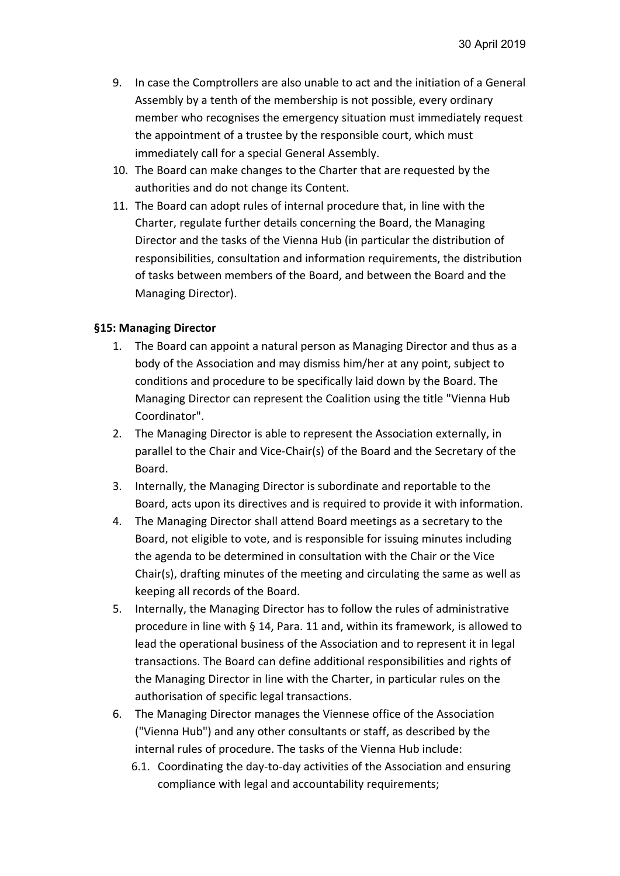- 9. In case the Comptrollers are also unable to act and the initiation of a General Assembly by a tenth of the membership is not possible, every ordinary member who recognises the emergency situation must immediately request the appointment of a trustee by the responsible court, which must immediately call for a special General Assembly.
- 10. The Board can make changes to the Charter that are requested by the authorities and do not change its Content.
- 11. The Board can adopt rules of internal procedure that, in line with the Charter, regulate further details concerning the Board, the Managing Director and the tasks of the Vienna Hub (in particular the distribution of responsibilities, consultation and information requirements, the distribution of tasks between members of the Board, and between the Board and the Managing Director).

## **§15: Managing Director**

- 1. The Board can appoint a natural person as Managing Director and thus as a body of the Association and may dismiss him/her at any point, subject to conditions and procedure to be specifically laid down by the Board. The Managing Director can represent the Coalition using the title "Vienna Hub Coordinator".
- 2. The Managing Director is able to represent the Association externally, in parallel to the Chair and Vice-Chair(s) of the Board and the Secretary of the Board.
- 3. Internally, the Managing Director is subordinate and reportable to the Board, acts upon its directives and is required to provide it with information.
- 4. The Managing Director shall attend Board meetings as a secretary to the Board, not eligible to vote, and is responsible for issuing minutes including the agenda to be determined in consultation with the Chair or the Vice Chair(s), drafting minutes of the meeting and circulating the same as well as keeping all records of the Board.
- 5. Internally, the Managing Director has to follow the rules of administrative procedure in line with § 14, Para. 11 and, within its framework, is allowed to lead the operational business of the Association and to represent it in legal transactions. The Board can define additional responsibilities and rights of the Managing Director in line with the Charter, in particular rules on the authorisation of specific legal transactions.
- 6. The Managing Director manages the Viennese office of the Association ("Vienna Hub") and any other consultants or staff, as described by the internal rules of procedure. The tasks of the Vienna Hub include:
	- 6.1. Coordinating the day-to-day activities of the Association and ensuring compliance with legal and accountability requirements;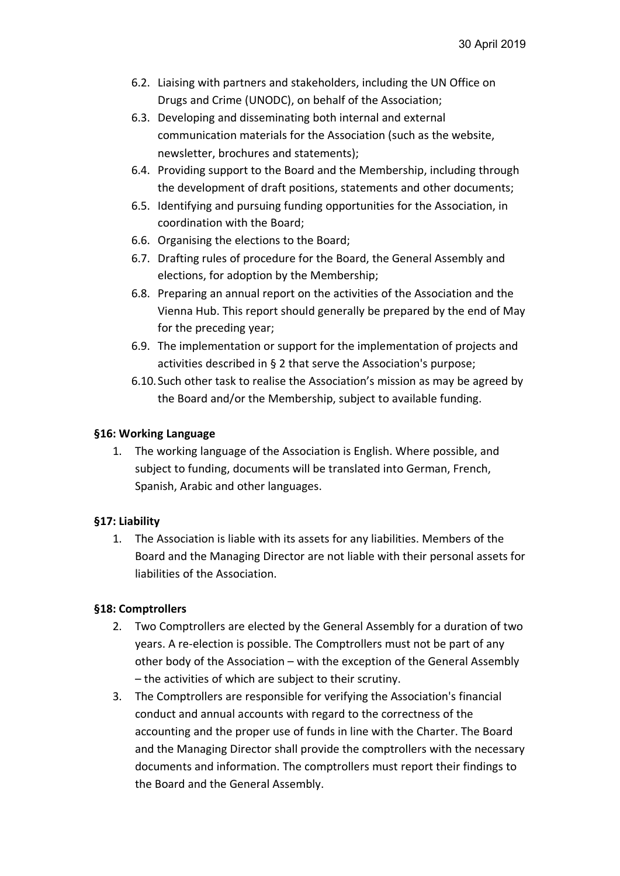- 6.2. Liaising with partners and stakeholders, including the UN Office on Drugs and Crime (UNODC), on behalf of the Association;
- 6.3. Developing and disseminating both internal and external communication materials for the Association (such as the website, newsletter, brochures and statements);
- 6.4. Providing support to the Board and the Membership, including through the development of draft positions, statements and other documents;
- 6.5. Identifying and pursuing funding opportunities for the Association, in coordination with the Board;
- 6.6. Organising the elections to the Board;
- 6.7. Drafting rules of procedure for the Board, the General Assembly and elections, for adoption by the Membership;
- 6.8. Preparing an annual report on the activities of the Association and the Vienna Hub. This report should generally be prepared by the end of May for the preceding year;
- 6.9. The implementation or support for the implementation of projects and activities described in § 2 that serve the Association's purpose;
- 6.10.Such other task to realise the Association's mission as may be agreed by the Board and/or the Membership, subject to available funding.

## **§16: Working Language**

1. The working language of the Association is English. Where possible, and subject to funding, documents will be translated into German, French, Spanish, Arabic and other languages.

## **§17: Liability**

1. The Association is liable with its assets for any liabilities. Members of the Board and the Managing Director are not liable with their personal assets for liabilities of the Association.

## **§18: Comptrollers**

- 2. Two Comptrollers are elected by the General Assembly for a duration of two years. A re-election is possible. The Comptrollers must not be part of any other body of the Association – with the exception of the General Assembly – the activities of which are subject to their scrutiny.
- 3. The Comptrollers are responsible for verifying the Association's financial conduct and annual accounts with regard to the correctness of the accounting and the proper use of funds in line with the Charter. The Board and the Managing Director shall provide the comptrollers with the necessary documents and information. The comptrollers must report their findings to the Board and the General Assembly.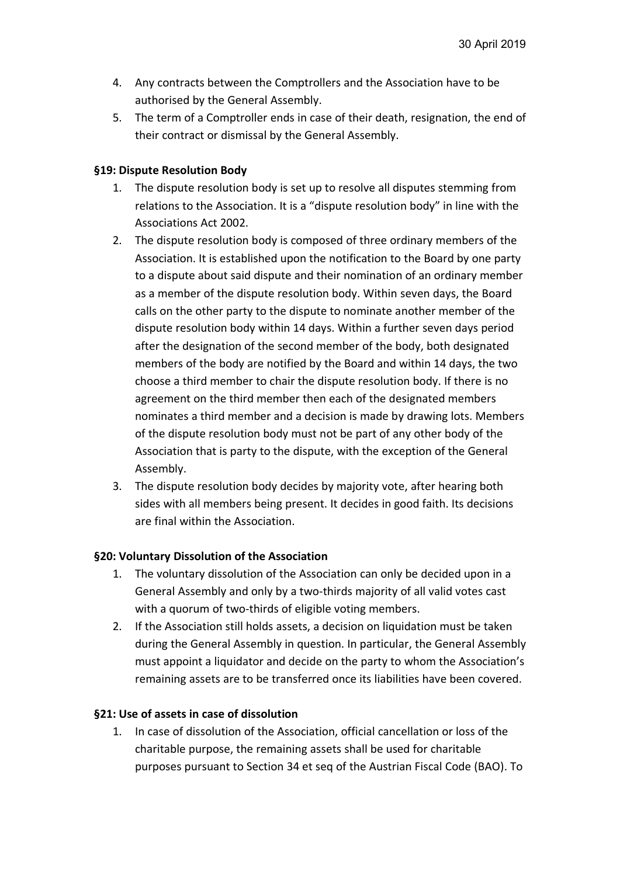- 4. Any contracts between the Comptrollers and the Association have to be authorised by the General Assembly.
- 5. The term of a Comptroller ends in case of their death, resignation, the end of their contract or dismissal by the General Assembly.

### **§19: Dispute Resolution Body**

- 1. The dispute resolution body is set up to resolve all disputes stemming from relations to the Association. It is a "dispute resolution body" in line with the Associations Act 2002.
- 2. The dispute resolution body is composed of three ordinary members of the Association. It is established upon the notification to the Board by one party to a dispute about said dispute and their nomination of an ordinary member as a member of the dispute resolution body. Within seven days, the Board calls on the other party to the dispute to nominate another member of the dispute resolution body within 14 days. Within a further seven days period after the designation of the second member of the body, both designated members of the body are notified by the Board and within 14 days, the two choose a third member to chair the dispute resolution body. If there is no agreement on the third member then each of the designated members nominates a third member and a decision is made by drawing lots. Members of the dispute resolution body must not be part of any other body of the Association that is party to the dispute, with the exception of the General Assembly.
- 3. The dispute resolution body decides by majority vote, after hearing both sides with all members being present. It decides in good faith. Its decisions are final within the Association.

## **§20: Voluntary Dissolution of the Association**

- 1. The voluntary dissolution of the Association can only be decided upon in a General Assembly and only by a two-thirds majority of all valid votes cast with a quorum of two-thirds of eligible voting members.
- 2. If the Association still holds assets, a decision on liquidation must be taken during the General Assembly in question. In particular, the General Assembly must appoint a liquidator and decide on the party to whom the Association's remaining assets are to be transferred once its liabilities have been covered.

#### **§21: Use of assets in case of dissolution**

1. In case of dissolution of the Association, official cancellation or loss of the charitable purpose, the remaining assets shall be used for charitable purposes pursuant to Section 34 et seq of the Austrian Fiscal Code (BAO). To